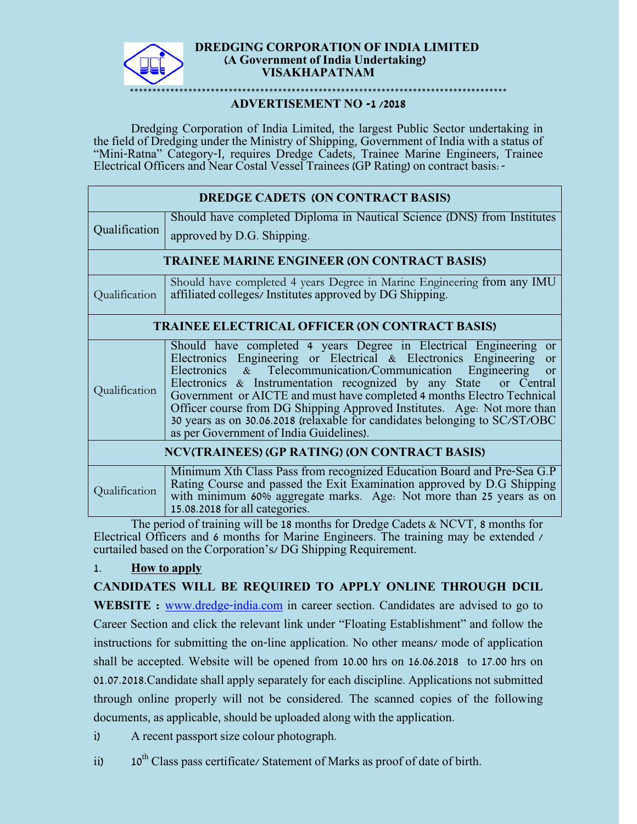

#### **DREDGING CORPORATION OF INDIA LIMITED (A Government of India Undertaking) VISAKHAPATNAM**

# \*\*\*\*\*\*\*\*\*\*\*\*\*\*\*\*\*\*\*\*\*\*\*\*\*\*\*\*\*\*\*\*\*\*\*\*\*\*\*\*\*\*\*\*\*\*\*\*\*\*\*\*\*\*\*\*\*\*\*\*\*\*\*\*\*\*\*\*\*\*\*\*\*\*\*\*\*\*\*\*\*\*\*\*

**ADVERTISEMENT NO -1 /2018**

Dredging Corporation of India Limited, the largest Public Sector undertaking in the field of Dredging under the Ministry of Shipping, Government of India with a status of "Mini-Ratna" Category-I, requires Dredge Cadets, Trainee Marine Engineers, Trainee Electrical Officers and Near Costal Vessel Trainees (GP Rating) on contract basis:-

| DREDGE CADETS (ON CONTRACT BASIS)                     |                                                                                                                                                                                                                                                                                                                                                                                                                                                                                                                                                                               |  |
|-------------------------------------------------------|-------------------------------------------------------------------------------------------------------------------------------------------------------------------------------------------------------------------------------------------------------------------------------------------------------------------------------------------------------------------------------------------------------------------------------------------------------------------------------------------------------------------------------------------------------------------------------|--|
| Qualification                                         | Should have completed Diploma in Nautical Science (DNS) from Institutes                                                                                                                                                                                                                                                                                                                                                                                                                                                                                                       |  |
|                                                       | approved by D.G. Shipping.                                                                                                                                                                                                                                                                                                                                                                                                                                                                                                                                                    |  |
| <b>TRAINEE MARINE ENGINEER (ON CONTRACT BASIS)</b>    |                                                                                                                                                                                                                                                                                                                                                                                                                                                                                                                                                                               |  |
| Qualification                                         | Should have completed 4 years Degree in Marine Engineering from any IMU<br>affiliated colleges/ Institutes approved by DG Shipping.                                                                                                                                                                                                                                                                                                                                                                                                                                           |  |
| <b>TRAINEE ELECTRICAL OFFICER (ON CONTRACT BASIS)</b> |                                                                                                                                                                                                                                                                                                                                                                                                                                                                                                                                                                               |  |
| Qualification                                         | Should have completed 4 years Degree in Electrical Engineering<br><b>or</b><br>Electronics Engineering or Electrical & Electronics Engineering or<br>Electronics & Telecommunication/Communication Engineering<br><b>or</b><br>Electronics & Instrumentation recognized by any State or Central<br>Government or AICTE and must have completed 4 months Electro Technical<br>Officer course from DG Shipping Approved Institutes. Age: Not more than<br>30 years as on 30.06.2018 (relaxable for candidates belonging to SC/ST/OBC<br>as per Government of India Guidelines). |  |
| NCV(TRAINEES) (GP RATING) (ON CONTRACT BASIS)         |                                                                                                                                                                                                                                                                                                                                                                                                                                                                                                                                                                               |  |
| Qualification                                         | Minimum Xth Class Pass from recognized Education Board and Pre-Sea G.P<br>Rating Course and passed the Exit Examination approved by D.G Shipping<br>with minimum 60% aggregate marks. Age: Not more than 25 years as on<br>15.08.2018 for all categories.                                                                                                                                                                                                                                                                                                                     |  |

The period of training will be 18 months for Dredge Cadets & NCVT, 8 months for Electrical Officers and 6 months for Marine Engineers. The training may be extended / curtailed based on the Corporation's/ DG Shipping Requirement.

## 1. **How to apply**

# **CANDIDATES WILL BE REQUIRED TO APPLY ONLINE THROUGH DCIL**

**WEBSITE** : **[www.dredge-india.com](http://www.dredge-india.com/)** in career section. Candidates are advised to go to Career Section and click the relevant link under "Floating Establishment" and follow the instructions for submitting the on-line application. No other means/ mode of application shall be accepted. Website will be opened from 10.00 hrs on 16.06.2018 to 17.00 hrs on 01.07.2018.Candidate shall apply separately for each discipline. Applications not submitted through online properly will not be considered. The scanned copies of the following documents, as applicable, should be uploaded along with the application.

i) A recent passport size colour photograph.

ii)  $10^{th}$  Class pass certificate/ Statement of Marks as proof of date of birth.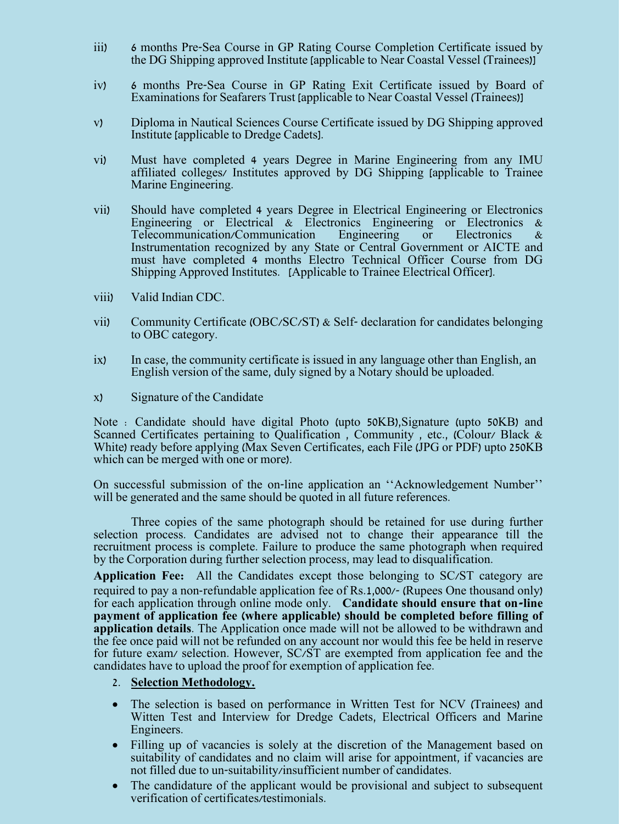- iii) 6 months Pre-Sea Course in GP Rating Course Completion Certificate issued by the DG Shipping approved Institute [applicable to Near Coastal Vessel (Trainees)]
- iv) 6 months Pre-Sea Course in GP Rating Exit Certificate issued by Board of Examinations for Seafarers Trust [applicable to Near Coastal Vessel (Trainees)]
- v) Diploma in Nautical Sciences Course Certificate issued by DG Shipping approved Institute [applicable to Dredge Cadets].
- vi) Must have completed 4 years Degree in Marine Engineering from any IMU affiliated colleges/ Institutes approved by DG Shipping [applicable to Trainee Marine Engineering.
- vii) Should have completed 4 years Degree in Electrical Engineering or Electronics Engineering or Electrical & Electronics Engineering or Electronics & Telecommunication/Communication Engineering or Electronics & Telecommunication/Communication Instrumentation recognized by any State or Central Government or AICTE and must have completed 4 months Electro Technical Officer Course from DG Shipping Approved Institutes. [Applicable to Trainee Electrical Officer].
- viii) Valid Indian CDC.
- vii) Community Certificate (OBC/SC/ST) & Self- declaration for candidates belonging to OBC category.
- ix) In case, the community certificate is issued in any language other than English, an English version of the same, duly signed by a Notary should be uploaded.
- x) Signature of the Candidate

Note : Candidate should have digital Photo (upto 50KB),Signature (upto 50KB) and Scanned Certificates pertaining to Qualification, Community, etc., (Colour/ Black & White) ready before applying (Max Seven Certificates, each File (JPG or PDF) upto 250KB which can be merged with one or more).

On successful submission of the on-line application an ''Acknowledgement Number'' will be generated and the same should be quoted in all future references.

Three copies of the same photograph should be retained for use during further selection process. Candidates are advised not to change their appearance till the recruitment process is complete. Failure to produce the same photograph when required by the Corporation during further selection process, may lead to disqualification.

**Application Fee:** All the Candidates except those belonging to SC/ST category are required to pay a non-refundable application fee of Rs.1,000/- (Rupees One thousand only) for each application through online mode only. **Candidate should ensure that on-line payment of application fee (where applicable) should be completed before filling of application details**. The Application once made will not be allowed to be withdrawn and the fee once paid will not be refunded on any account nor would this fee be held in reserve for future exam/ selection. However, SC/ST are exempted from application fee and the candidates have to upload the proof for exemption of application fee.

#### 2. **Selection Methodology.**

- The selection is based on performance in Written Test for NCV (Trainees) and Witten Test and Interview for Dredge Cadets, Electrical Officers and Marine Engineers.
- Filling up of vacancies is solely at the discretion of the Management based on suitability of candidates and no claim will arise for appointment, if vacancies are not filled due to un-suitability/insufficient number of candidates.
- The candidature of the applicant would be provisional and subject to subsequent verification of certificates/testimonials.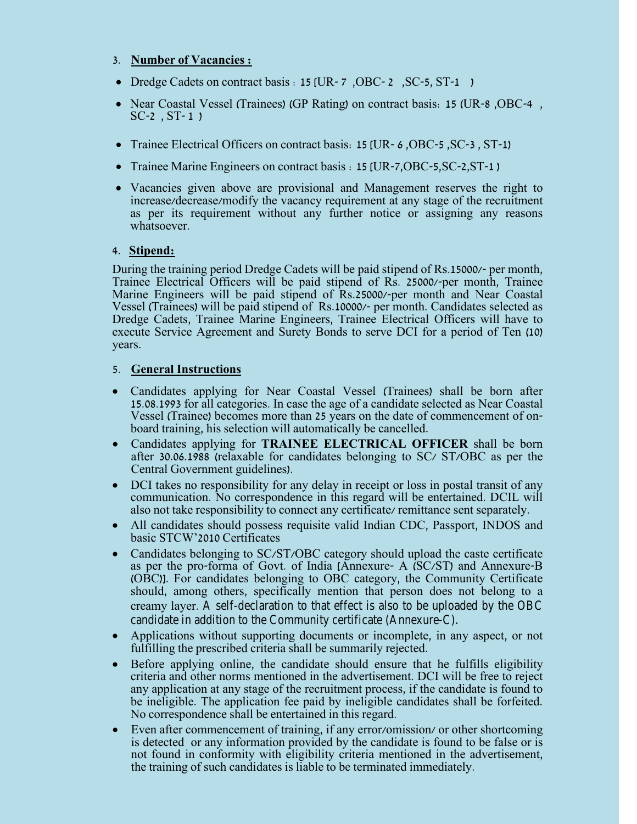## 3. **Number of Vacancies :**

- Dredge Cadets on contract basis : 15 [UR- 7, OBC- 2, SC-5, ST-1)
- Near Coastal Vessel (Trainees) (GP Rating) on contract basis: 15 (UR-8 ,OBC-4 ,  $SC-2$ ,  $ST-1$  )
- Trainee Electrical Officers on contract basis: 15 [UR- 6, OBC-5, SC-3, ST-1)
- Trainee Marine Engineers on contract basis : 15 [UR-7,OBC-5,SC-2,ST-1 )
- Vacancies given above are provisional and Management reserves the right to increase/decrease/modify the vacancy requirement at any stage of the recruitment as per its requirement without any further notice or assigning any reasons whatsoever.

## 4. **Stipend:**

During the training period Dredge Cadets will be paid stipend of Rs.15000/- per month, Trainee Electrical Officers will be paid stipend of Rs. 25000/-per month, Trainee Marine Engineers will be paid stipend of Rs.25000/-per month and Near Coastal Vessel (Trainees) will be paid stipend of Rs.10000/- per month. Candidates selected as Dredge Cadets, Trainee Marine Engineers, Trainee Electrical Officers will have to execute Service Agreement and Surety Bonds to serve DCI for a period of Ten (10) years.

## 5. **General Instructions**

- Candidates applying for Near Coastal Vessel (Trainees) shall be born after 15.08.1993 for all categories. In case the age of a candidate selected as Near Coastal Vessel (Trainee) becomes more than 25 years on the date of commencement of onboard training, his selection will automatically be cancelled.
- Candidates applying for **TRAINEE ELECTRICAL OFFICER** shall be born after 30.06.1988 (relaxable for candidates belonging to SC/ ST/OBC as per the Central Government guidelines).
- DCI takes no responsibility for any delay in receipt or loss in postal transit of any communication. No correspondence in this regard will be entertained. DCIL will also not take responsibility to connect any certificate/ remittance sent separately.
- All candidates should possess requisite valid Indian CDC, Passport, INDOS and basic STCW'2010 Certificates
- Candidates belonging to SC/ST/OBC category should upload the caste certificate as per the pro-forma of Govt. of India [Annexure- A (SC/ST) and Annexure-B (OBC)]. For candidates belonging to OBC category, the Community Certificate should, among others, specifically mention that person does not belong to a creamy layer. A self-declaration to that effect is also to be uploaded by the OBC candidate in addition to the Community certificate (Annexure-C).
- Applications without supporting documents or incomplete, in any aspect, or not fulfilling the prescribed criteria shall be summarily rejected.
- Before applying online, the candidate should ensure that he fulfills eligibility criteria and other norms mentioned in the advertisement. DCI will be free to reject any application at any stage of the recruitment process, if the candidate is found to be ineligible. The application fee paid by ineligible candidates shall be forfeited. No correspondence shall be entertained in this regard.
- Even after commencement of training, if any error/omission/ or other shortcoming is detected or any information provided by the candidate is found to be false or is not found in conformity with eligibility criteria mentioned in the advertisement, the training of such candidates is liable to be terminated immediately.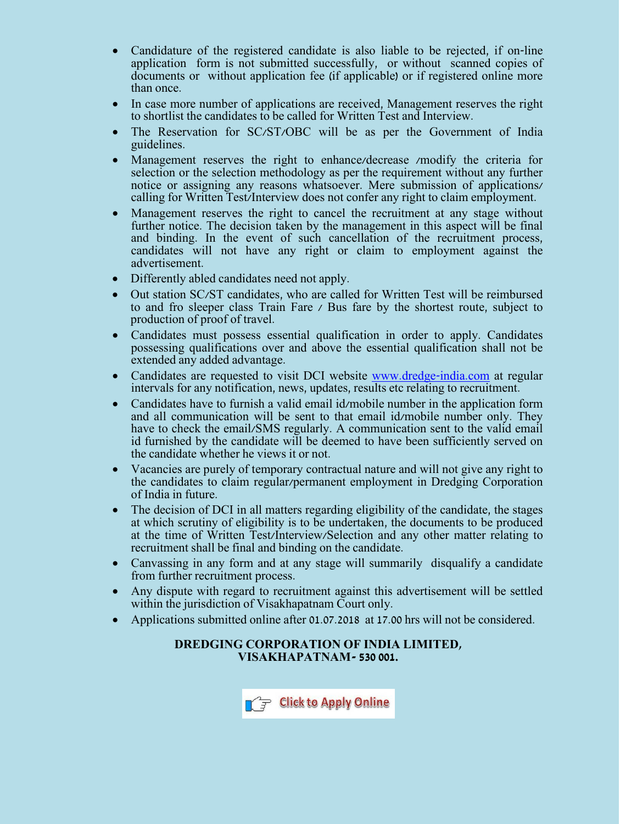- Candidature of the registered candidate is also liable to be rejected, if on-line application form is not submitted successfully, or without scanned copies of documents or without application fee (if applicable) or if registered online more than once.
- In case more number of applications are received, Management reserves the right to shortlist the candidates to be called for Written Test and Interview.
- The Reservation for SC/ST/OBC will be as per the Government of India guidelines.
- Management reserves the right to enhance/decrease /modify the criteria for selection or the selection methodology as per the requirement without any further notice or assigning any reasons whatsoever. Mere submission of applications/ calling for Written Test/Interview does not confer any right to claim employment.
- Management reserves the right to cancel the recruitment at any stage without further notice. The decision taken by the management in this aspect will be final and binding. In the event of such cancellation of the recruitment process, candidates will not have any right or claim to employment against the advertisement.
- Differently abled candidates need not apply.
- Out station SC/ST candidates, who are called for Written Test will be reimbursed to and fro sleeper class Train Fare / Bus fare by the shortest route, subject to production of proof of travel.
- Candidates must possess essential qualification in order to apply. Candidates possessing qualifications over and above the essential qualification shall not be extended any added advantage.
- Candidates are requested to visit DCI website [www.dredge-india.com](http://www.dredge-india.com/) at regular intervals for any notification, news, updates, results etc relating to recruitment.
- Candidates have to furnish a valid email id/mobile number in the application form and all communication will be sent to that email id/mobile number only. They have to check the email/SMS regularly. A communication sent to the valid email id furnished by the candidate will be deemed to have been sufficiently served on the candidate whether he views it or not.
- Vacancies are purely of temporary contractual nature and will not give any right to the candidates to claim regular/permanent employment in Dredging Corporation of India in future.
- The decision of DCI in all matters regarding eligibility of the candidate, the stages at which scrutiny of eligibility is to be undertaken, the documents to be produced at the time of Written Test/Interview/Selection and any other matter relating to recruitment shall be final and binding on the candidate.
- Canvassing in any form and at any stage will summarily disqualify a candidate from further recruitment process.
- Any dispute with regard to recruitment against this advertisement will be settled within the jurisdiction of Visakhapatnam Court only.
- Applications submitted online after 01.07.2018 at 17.00 hrs will not be considered.

## **DREDGING CORPORATION OF INDIA LIMITED, VISAKHAPATNAM- 530 001.**

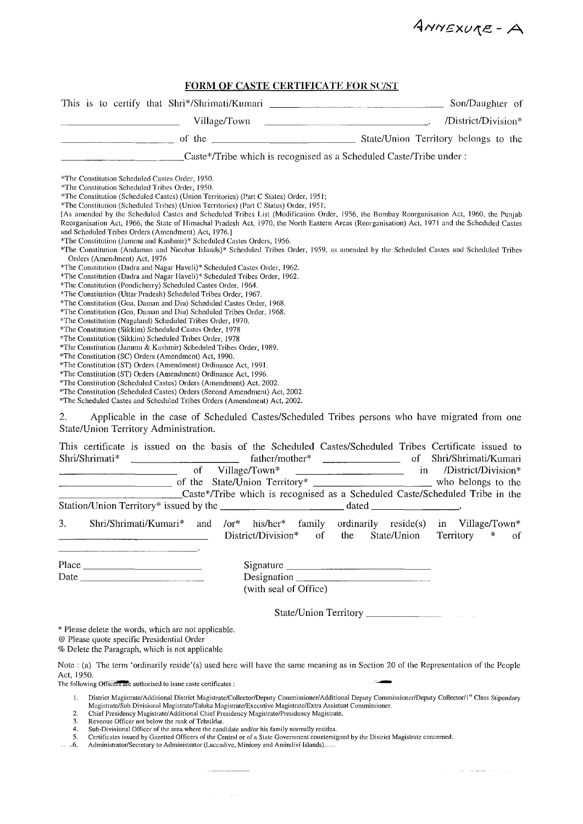ANNEXURE - A

الموارد والمستشرقين المراد

#### FORM OF CASTE CERTIFICATE FOR SC/ST

|                                                                                                                                                                                                                                                                                                                                                                                                                                                                                                                                                                                                                                                                                                                                                                                                                                                                                                                                                                                                                                                                                                                                                                                                                                                                                                                                                                                                                                                                                                                                                                                                                                                                                                                                                                                                                                                                                                                                                                                                                                | Son/Daughter of                                                                         |
|--------------------------------------------------------------------------------------------------------------------------------------------------------------------------------------------------------------------------------------------------------------------------------------------------------------------------------------------------------------------------------------------------------------------------------------------------------------------------------------------------------------------------------------------------------------------------------------------------------------------------------------------------------------------------------------------------------------------------------------------------------------------------------------------------------------------------------------------------------------------------------------------------------------------------------------------------------------------------------------------------------------------------------------------------------------------------------------------------------------------------------------------------------------------------------------------------------------------------------------------------------------------------------------------------------------------------------------------------------------------------------------------------------------------------------------------------------------------------------------------------------------------------------------------------------------------------------------------------------------------------------------------------------------------------------------------------------------------------------------------------------------------------------------------------------------------------------------------------------------------------------------------------------------------------------------------------------------------------------------------------------------------------------|-----------------------------------------------------------------------------------------|
| Village/Town                                                                                                                                                                                                                                                                                                                                                                                                                                                                                                                                                                                                                                                                                                                                                                                                                                                                                                                                                                                                                                                                                                                                                                                                                                                                                                                                                                                                                                                                                                                                                                                                                                                                                                                                                                                                                                                                                                                                                                                                                   | /District/Division*                                                                     |
| <u> 1989 - Andrea State Barbara, amerikan per</u>                                                                                                                                                                                                                                                                                                                                                                                                                                                                                                                                                                                                                                                                                                                                                                                                                                                                                                                                                                                                                                                                                                                                                                                                                                                                                                                                                                                                                                                                                                                                                                                                                                                                                                                                                                                                                                                                                                                                                                              |                                                                                         |
| Caste*/Tribe which is recognised as a Scheduled Caste/Tribe under:                                                                                                                                                                                                                                                                                                                                                                                                                                                                                                                                                                                                                                                                                                                                                                                                                                                                                                                                                                                                                                                                                                                                                                                                                                                                                                                                                                                                                                                                                                                                                                                                                                                                                                                                                                                                                                                                                                                                                             |                                                                                         |
| *The Constitution Scheduled Castes Order, 1950.<br>*The Constitution Scheduled Tribes Order, 1950.<br>*The Constitution (Scheduled Castes) (Union Territories) (Part C States) Order, 1951;<br>*The Constitution (Scheduled Tribes) (Union Territories) (Part C States) Order, 1951;<br>[As amended by the Scheduled Castes and Scheduled Tribes List (Modification Order, 1956, the Bombay Reorganisation Act, 1960, the Punjab<br>Reorganisation Act, 1966, the State of Himachal Pradesh Act, 1970, the North Eastern Areas (Reorganisation) Act, 1971 and the Scheduled Castes<br>and Scheduled Tribes Orders (Amendment) Act, 1976.]<br>*The Constitution (Jammu and Kashmir)* Scheduled Castes Orders, 1956.<br>*The Constitution (Andaman and Nicobar Islands)* Scheduled Tribes Order, 1959, as amended by the Scheduled Castes and Scheduled Tribes<br>Orders (Amendment) Act, 1976<br>*The Constitution (Dadra and Nagar Haveli)* Scheduled Castes Order, 1962.<br>*The Constitution (Dadra and Nagar Haveli)* Scheduled Tribes Order, 1962.<br>*The Constitution (Pondicherry) Scheduled Castes Order, 1964.<br>*The Constitution (Uttar Pradesh) Scheduled Tribes Order, 1967.<br>*The Constitution (Goa, Daman and Diu) Scheduled Castes Order, 1968.<br>*The Constitution (Goa, Daman and Diu) Scheduled Tribes Order, 1968.<br>*The Constitution (Nagaland) Scheduled Tribes Order, 1970.<br>*The Constitution (Sikkim) Scheduled Castes Order, 1978<br>*The Constitution (Sikkim) Scheduled Tribes Order, 1978<br>*The Constitution (Jammu & Kashmir) Scheduled Tribes Order, 1989.<br>*The Constitution (SC) Orders (Amendment) Act, 1990.<br>*The Constitution (ST) Orders (Amendment) Ordinance Act, 1991.<br>*The Constitution (ST) Orders (Amendment) Ordinance Act, 1996.<br>*The Constitution (Scheduled Castes) Orders (Amendment) Act, 2002.<br>*The Constitution (Scheduled Castes) Orders (Second Amendment) Act, 2002.<br>*The Scheduled Castes and Scheduled Tribes Orders (Amendment) Act, 2002. |                                                                                         |
| Applicable in the case of Scheduled Castes/Scheduled Tribes persons who have migrated from one<br>2.<br>State/Union Territory Administration.                                                                                                                                                                                                                                                                                                                                                                                                                                                                                                                                                                                                                                                                                                                                                                                                                                                                                                                                                                                                                                                                                                                                                                                                                                                                                                                                                                                                                                                                                                                                                                                                                                                                                                                                                                                                                                                                                  |                                                                                         |
| This certificate is issued on the basis of the Scheduled Castes/Scheduled Tribes Certificate issued to<br>Shri/Shrimati*<br>of Village/Town*<br>Caste*/Tribe which is recognised as a Scheduled Caste/Scheduled Tribe in the                                                                                                                                                                                                                                                                                                                                                                                                                                                                                                                                                                                                                                                                                                                                                                                                                                                                                                                                                                                                                                                                                                                                                                                                                                                                                                                                                                                                                                                                                                                                                                                                                                                                                                                                                                                                   | Shri/Shrimati/Kumari<br>of<br>/District/Division*<br>in                                 |
| 3.<br>Shri/Shrimati/Kumari*<br>$\overline{\text{or}}^*$<br>his/her*<br>family<br>and<br>District/Division*<br>$\overline{of}$<br>the                                                                                                                                                                                                                                                                                                                                                                                                                                                                                                                                                                                                                                                                                                                                                                                                                                                                                                                                                                                                                                                                                                                                                                                                                                                                                                                                                                                                                                                                                                                                                                                                                                                                                                                                                                                                                                                                                           | $reside(s)$ in Village/Town*<br>ordinarily<br>State/Union<br>Territory<br>$\cdot$<br>of |
| Place $\frac{1}{\sqrt{1-\frac{1}{2}} \cdot \frac{1}{\sqrt{1-\frac{1}{2}} \cdot \frac{1}{2}} \cdot \frac{1}{\sqrt{1-\frac{1}{2}} \cdot \frac{1}{2}} \cdot \frac{1}{\sqrt{1-\frac{1}{2}} \cdot \frac{1}{2}} \cdot \frac{1}{\sqrt{1-\frac{1}{2}} \cdot \frac{1}{2}} \cdot \frac{1}{\sqrt{1-\frac{1}{2}} \cdot \frac{1}{2}} \cdot \frac{1}{\sqrt{1-\frac{1}{2}} \cdot \frac{1}{2}} \cdot \frac{1}{\sqrt{1-\frac{1}{2}} \cdot \frac{1}{2}} \cdot \frac{1}{\sqrt$<br>(with seal of Office)                                                                                                                                                                                                                                                                                                                                                                                                                                                                                                                                                                                                                                                                                                                                                                                                                                                                                                                                                                                                                                                                                                                                                                                                                                                                                                                                                                                                                                                                                                                                           |                                                                                         |
|                                                                                                                                                                                                                                                                                                                                                                                                                                                                                                                                                                                                                                                                                                                                                                                                                                                                                                                                                                                                                                                                                                                                                                                                                                                                                                                                                                                                                                                                                                                                                                                                                                                                                                                                                                                                                                                                                                                                                                                                                                |                                                                                         |
| * Please delete the words, which are not applicable.<br>@ Please quote specific Presidential Order                                                                                                                                                                                                                                                                                                                                                                                                                                                                                                                                                                                                                                                                                                                                                                                                                                                                                                                                                                                                                                                                                                                                                                                                                                                                                                                                                                                                                                                                                                                                                                                                                                                                                                                                                                                                                                                                                                                             |                                                                                         |

% Delete the Paragraph, which is not applicable

Note : (a) The term 'ordinarily reside'(s) used here will have the same meaning as in Section 20 of the Representation of the People Act, 1950.

The following Officers are authorised to issue caste certificates :

District Magistrate/Additional District Magistrate/Collector/Deputy Commissioner/Additional Deputy Commissioner/Deputy Collector/1<sup>st</sup> Class Stipendary<br>Magistrate/Sub Divisional Magistrate/Taluka Magistrate/Executive Magis  $1.$ 

 $\overline{2}$ 

 $\cdots$ 

 $\sim$   $\sim$ 

 $\frac{3}{4}$ .

Ener residency bragstrate.<br>
Revenue Officer not below the rank of Tehsildar.<br>
Sub-Divisional Officer of the area where the candidate and/or his family normally resides.<br>
Sub-Divisional Officer of the area where the candida  $5<sub>1</sub>$  $-6.$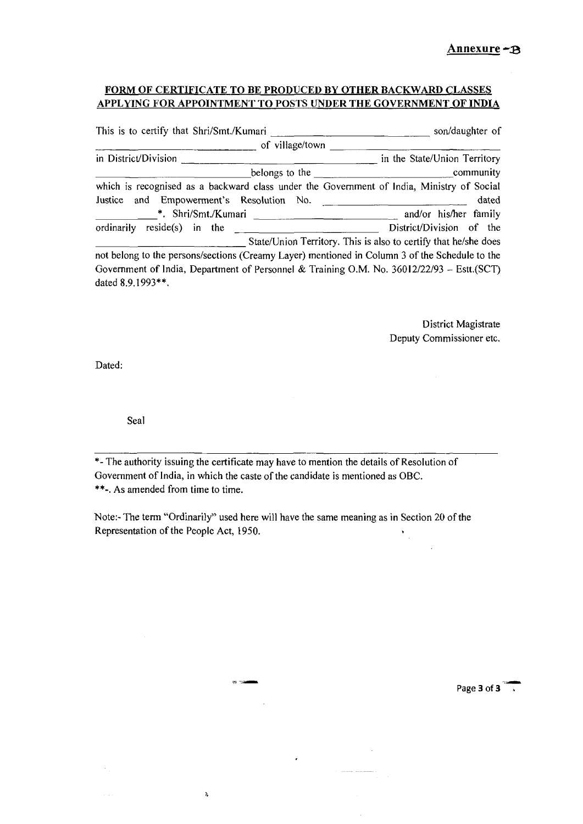#### FORM OF CERTIFICATE TO BE PRODUCED BY OTHER BACKWARD CLASSES APPLYING FOR APPOINTMENT TO POSTS UNDER THE GOVERNMENT OF INDIA

| This is to certify that Shri/Smt./Kumari                                                                                              | son/daughter of                                                                             |
|---------------------------------------------------------------------------------------------------------------------------------------|---------------------------------------------------------------------------------------------|
| of village/town                                                                                                                       |                                                                                             |
| in District/Division                                                                                                                  | in the State/Union Territory                                                                |
|                                                                                                                                       |                                                                                             |
| which is recognised as a backward class under the Government of India, Ministry of Social<br>Justice and Empowerment's Resolution No. | dated                                                                                       |
|                                                                                                                                       | and/or his/her family                                                                       |
| $reside(s)$ in the<br>ordinarily                                                                                                      | District/Division of the<br>State/Union Territory. This is also to certify that he/she does |
| not belong to the persons/sections (Creamy Layer) mentioned in Column 3 of the Schedule to the                                        |                                                                                             |
| Government of India, Department of Personnel & Training O.M. No. 36012/22/93 - Estt.(SCT)<br>dated 8.9.1993**.                        |                                                                                             |

District Magistrate Deputy Commissioner etc.

 $\bar{\mathcal{A}}$ 

Dated:

 $\ddot{\phantom{a}}$ 

Seal

\*- The authority issuing the certificate may have to mention the details of Resolution of Government of India, in which the caste of the candidate is mentioned as OBC. \*\*-. As amended from time to time.

Note:- The term "Ordinarily" used here will have the same meaning as in Section 20 of the Representation of the People Act, 1950.

 $\cdot$ 

 $99 - 124$ 

 $\lambda$ 

Page 3 of 3